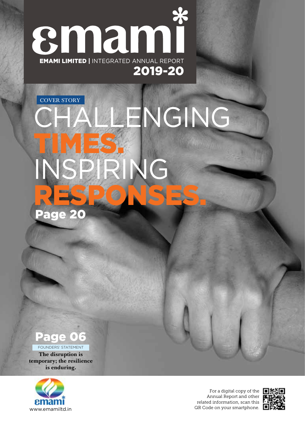$%$ smami EMAMI LIMITED | INTEGRATED ANNUAL REPORT 2019-20

# Page 20 NGING TIMES. INSPIRING RESPONSES. COVER STORY

## Page 06

**The disruption is**  FOUNDERS' STATEMENT

**temporary; the resilience is enduring.**



For a digital copy of the  $\Box X$ Annual Report and other related information, scan this QR Code on your smartphone.

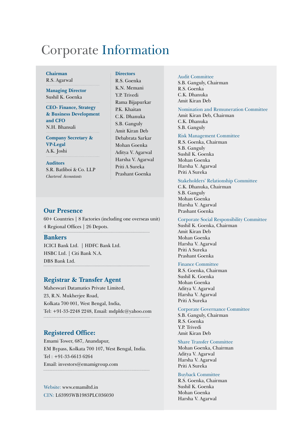## Corporate Information

#### **Chairman** R.S. Agarwal

**Managing Director** Sushil K. Goenka

**CEO- Finance, Strategy & Business Development and CFO** N.H. Bhansali

**Company Secretary & VP-Legal** A.K. Joshi

**Auditors** S.R. Batliboi & Co. LLP *Chartered Accountants*

#### **Directors**

R.S. Goenka K.N. Memani Y.P. Trivedi Rama Bijapurkar P.K. Khaitan C.K. Dhanuka S.B. Ganguly Amit Kiran Deb Debabrata Sarkar Mohan Goenka Aditya V. Agarwal Harsha V. Agarwal Priti A Sureka Prashant Goenka

#### **Our Presence**

60+ Countries | 8 Factories (including one overseas unit) 4 Regional Offices | 26 Depots. **Bankers** ICICI Bank Ltd. | HDFC Bank Ltd. HSBC Ltd. | Citi Bank N.A. DBS Bank Ltd.

#### **Registrar & Transfer Agent**

Maheswari Datamatics Private Limited, 23, R.N. Mukherjee Road, Kolkata 700 001, West Bengal, India, Tel: +91-33-2248 2248, Email: mdpldc@yahoo.com 

#### **Registered Office:**

Emami Tower, 687, Anandapur, EM Bypass, Kolkata 700 107, West Bengal, India. Tel : +91-33-6613 6264 Email: investors@emamigroup.com 

Website: www.emamiltd.in CIN: L63993WB1983PLC036030

#### Audit Committee

S.B. Ganguly, Chairman R.S. Goenka C.K. Dhanuka Amit Kiran Deb

#### Nomination and Remuneration Committee

Amit Kiran Deb, Chairman C.K. Dhanuka S.B. Ganguly

#### Risk Management Committee

R.S. Goenka, Chairman S.B. Ganguly Sushil K. Goenka Mohan Goenka Harsha V. Agarwal Priti A Sureka

#### Stakeholders' Relationship Committee

C.K. Dhanuka, Chairman S.B. Ganguly Mohan Goenka Harsha V. Agarwal Prashant Goenka

#### Corporate Social Responsibility Committee

Sushil K. Goenka, Chairman Amit Kiran Deb Mohan Goenka Harsha V. Agarwal Priti A Sureka Prashant Goenka

#### Finance Committee

R.S. Goenka, Chairman Sushil K. Goenka Mohan Goenka Aditya V. Agarwal Harsha V. Agarwal Priti A Sureka

#### Corporate Governance Committee

S.B. Ganguly, Chairman R.S. Goenka Y.P. Trivedi Amit Kiran Deb

#### Share Transfer Committee

Mohan Goenka, Chairman Aditya V. Agarwal Harsha V. Agarwal Priti A Sureka

#### Buyback Committee

R.S. Goenka, Chairman Sushil K. Goenka Mohan Goenka Harsha V. Agarwal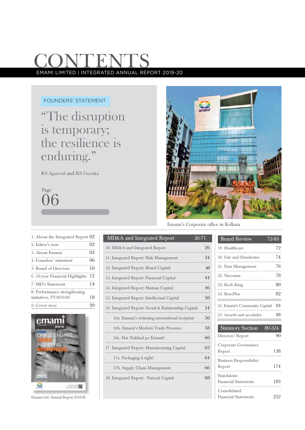## **CONTENT** EMAMI LIMITED | INTEGRATED ANNUAL REPORT 2019-20

#### FOUNDERS' STATEMENT

"The disruption is temporary; the resilience is enduring."

RS Agarwal and RS Goenka

06 Page



Emami's Corporate office in Kolkata

| 1. About the Integrated Report 02 |    |
|-----------------------------------|----|
| 2. Editor's note                  | 02 |
| 3. About Emami                    | 03 |
| 4. Founders' statement            | 06 |
| 5. Board of Directors             | 10 |
| 6. 10-year Financial Highlights   | 12 |
| 7. MD's Statement                 | 14 |
| 8. Performance strengthening      |    |
| initiatives, FY2019-20            | 18 |
| 9. Cover story                    | 20 |



Emami Ltd. Annual Report 2019-20

| MD&A and Integrated Report                           | 26-71 |
|------------------------------------------------------|-------|
| 10. MD&A and Integrated Report                       | 26    |
| 11. Integrated Report: Risk Management               | 34    |
| 12. Integrated Report: Brand Capital                 | 40    |
| 13. Integrated Report-Financial Capital              | 44    |
| 14. Integrated Report: Human Capital                 | 46    |
| 15. Integrated Report: Intellectual Capital          | 50    |
| 16. Integrated Report: Social & Relationship Capital | 54    |
| 16a. Emami's widening international footprint        | 56    |
| 16b. Emami's Modern Trade Presence                   | 58    |
| 16c. Har Nukkad pe Emami!                            | 60    |
| 17. Integrated Report- Manufacturing Capital         | 62    |
| 17a. Packaging it right!                             | 64    |
| 17b. Supply Chain Management                         | 66    |
| 18. Integrated Report - Natural Capital              | 68    |

. . . . . . . . . . . . . . . .

| <b>Brand Review</b>           | 72-83 |
|-------------------------------|-------|
| 19. Healthcare                | 72    |
| 20. Fair and Handsome         | 74    |
| 21. Pain Management           | 76    |
| 22. Navratna                  | 78    |
| 23. Kesh King                 | 80    |
| 24. BoroPlus                  | 82    |
| 25. Emami's Community Capital | 84    |
| 25. Awards and accolades      | 88    |
|                               |       |

| <b>Statutory Section</b>                    | 89-324 |
|---------------------------------------------|--------|
| Directors' Report                           |        |
| Corporate Governance<br>Report              | 138    |
| <b>Business Responsibility</b><br>Report    | 174    |
| Standalone<br><b>Financial Statements</b>   | 183    |
| Consolidated<br><b>Financial Statements</b> | ソら     |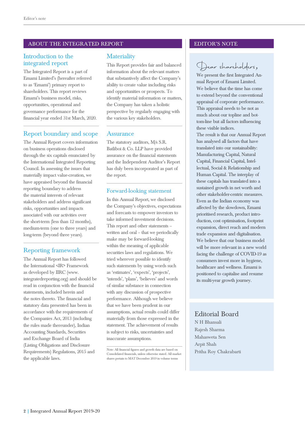#### ABOUT THE INTEGRATED REPORT THE INTEGRATED REPORT THE EDITOR'S NOTE

#### Introduction to the integrated report

The Integrated Report is a part of Emami Limited's (hereafter referred to as 'Emami') primary report to shareholders. This report reviews Emami's business model, risks, opportunities, operational and governance performance for the financial year ended 31st March, 2020.

#### Report boundary and scope

The Annual Report covers information on business operations disclosed through the six capitals enunciated by the International Integrated Reporting Council. In assessing the issues that materially impact value-creation, we have appraised beyond the financial reporting boundary to address the material interests of relevant stakeholders and address significant risks, opportunities and impacts associated with our activities over the short-term (less than 12 months), medium-term (one to three years) and long-term (beyond three years).

#### Reporting framework

The Annual Report has followed the International <IR> Framework as developed by IIRC (www. integratedreporting.org) and should be read in conjunction with the financial statements, included herein and the notes thereto. The financial and statutory data presented has been in accordance with the requirements of the Companies Act, 2013 (including the rules made thereunder), Indian Accounting Standards, Securities and Exchange Board of India (Listing Obligations and Disclosure Requirements) Regulations, 2015 and the applicable laws.

#### **Materiality**

This Report provides fair and balanced information about the relevant matters that substantively affect the Company's ability to create value including risks and opportunities or prospects. To identify material information or matters, the Company has taken a holistic perspective by regularly engaging with the various key stakeholders.

#### Assurance

The statutory auditors, M/s S.R. Batliboi & Co. LLP have provided assurance on the financial statements and the Independent Auditor's Report has duly been incorporated as part of the report.

#### Forward-looking statement

In this Annual Report, we disclosed the Company's objectives, expectations and forecasts to empower investors to take informed investment decisions. This report and other statements – written and oral – that we periodically make may be forward-looking within the meaning of applicable securities laws and regulations. We tried wherever possible to identify such statements by using words such as 'estimates', 'expects', 'projects', 'intends', 'plans', 'believes' and words of similar substance in connection with any discussion of prospective performance. Although we believe that we have been prudent in our assumptions, actual results could differ materially from those expressed in the statement. The achievement of results is subject to risks, uncertainties and inaccurate assumptions.

### Dear shareholders*,*

We present the first Integrated Annual Report of Emami Limited. We believe that the time has come to extend beyond the conventional appraisal of corporate performance. This appraisal needs to be not as much about our topline and bottom-line but all factors influencing these visible indices.

The result is that our Annual Report has analysed all factors that have translated into our sustainability: Manufacturing Capital, Natural Capital, Financial Capital, Intellectual, Social & Relationship and Human Capital. The interplay of these capitals has translated into a sustained growth in net worth and other stakeholder-centric measures. Even as the Indian economy was affected by the slowdown, Emami prioritised research, product introduction, cost optimisation, footprint expansion, direct reach and modern trade expansion and digitalisation. We believe that our business model will be more relevant in a new world facing the challenge of COVID-19 as consumers invest more in hygiene, healthcare and wellness. Emami is positioned to capitalise and resume its multi-year growth journey.

#### Editorial Board

N H Bhansali Rajesh Sharma Mahasweta Sen Arpit Shah Pritha Roy Chakrabarti

Note: All financial figures and growth data are based on Consolidated financials, unless otherwise stated. All market shares pertain to MAT December 2019 in volume terms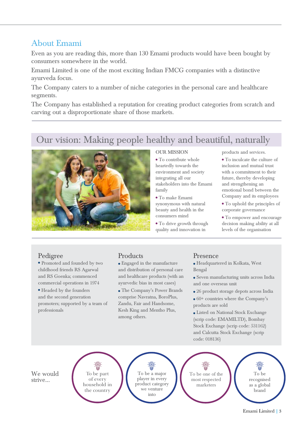### About Emami

Even as you are reading this, more than 130 Emami products would have been bought by consumers somewhere in the world.

Emami Limited is one of the most exciting Indian FMCG companies with a distinctive ayurveda focus.

The Company caters to a number of niche categories in the personal care and healthcare segments.

The Company has established a reputation for creating product categories from scratch and carving out a disproportionate share of those markets.

### Our vision: Making people healthy and beautiful, naturally



#### OUR MISSION

• To contribute whole heartedly towards the environment and society integrating all our stakeholders into the Emami family

 To make Emami synonymous with natural beauty and health in the consumers mind

 To drive growth through quality and innovation in

products and services.

 To inculcate the culture of inclusion and mutual trust with a commitment to their future, thereby developing and strengthening an emotional bond between the Company and its employees

 To uphold the principles of corporate governance

 To empower and encourage decision making ability at all levels of the organisation

#### Pedigree

- Promoted and founded by two childhood friends RS Agarwal and RS Goenka; commenced commercial operations in 1974
- Headed by the founders and the second generation promoters; supported by a team of professionals

#### Products

- Engaged in the manufacture and distribution of personal care and healthcare products (with an ayurvedic bias in most cases)
- The Company's Power Brands comprise Navratna, BoroPlus, Zandu, Fair and Handsome, Kesh King and Mentho Plus, among others.

#### Presence

 Headquartered in Kolkata, West Bengal

- Seven manufacturing units across India and one overseas unit
- 26 product storage depots across India
- 60+ countries where the Company's products are sold

 Listed on National Stock Exchange (scrip code: EMAMILTD), Bombay Stock Exchange (scrip code: 531162) and Calcutta Stock Exchange (scrip code: 018136)

We would strive...

To be part of every household in the country

To be a major player in every product category we venture into

To be one of the most respected marketers

(©) To be recognised as a global brand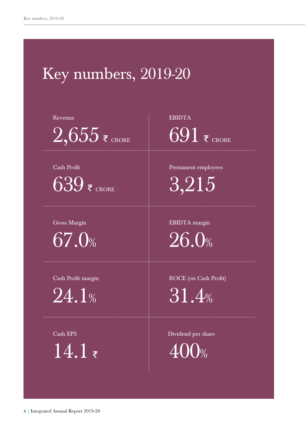## Key numbers, 2019-20

Revenue

 $2,655$   $\overline{\epsilon}$  crore

Cash Profit

 $639$   $\overline{\epsilon}$  CRORE

Gross Margin 67.0%

Cash Profit margin

 $24.1%$ 

Cash EPS  $14.1*$  EBIDTA  $691$  F CRORE

Permanent employees 3,215

EBIDTA margin 26.0%

ROCE (on Cash Profit)

31.4%

Dividend per share  $\bigcup_{\%}$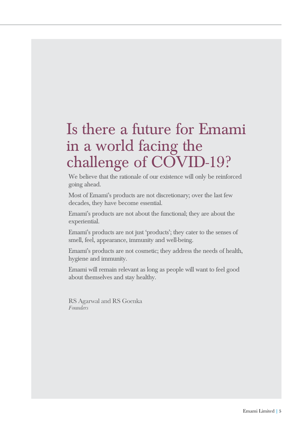## Is there a future for Emami in a world facing the challenge of COVID-19?

We believe that the rationale of our existence will only be reinforced going ahead.

Most of Emami's products are not discretionary; over the last few decades, they have become essential.

Emami's products are not about the functional; they are about the experiential.

Emami's products are not just 'products'; they cater to the senses of smell, feel, appearance, immunity and well-being.

Emami's products are not cosmetic; they address the needs of health, hygiene and immunity.

Emami will remain relevant as long as people will want to feel good about themselves and stay healthy.

RS Agarwal and RS Goenka *Founders*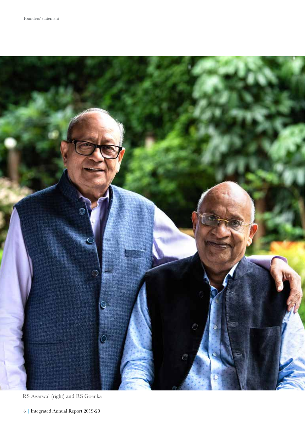

RS Agarwal (right) and RS Goenka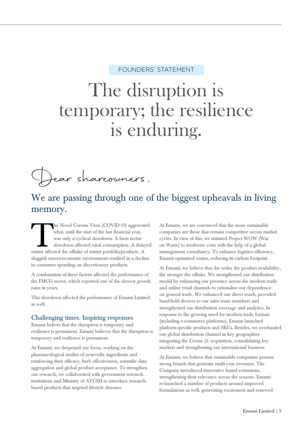#### FOUNDERS' STATEMENT

# The disruption is temporary; the resilience is enduring.

Jear shareowners.

### We are passing through one of the biggest upheavals in living memory.

The Novel Corona Virus (COVID-19) aggravated what, until the start of the last financial year, was only a cyclical slowdown. A farm sector slowdown affected rural consumption. A delayed winter affected the offtake of winte what, until the start of the last financial year, was only a cyclical slowdown. A farm sector slowdown affected rural consumption. A delayed sluggish macro-economic environment resulted in a decline in consumer spending on discretionary products.

A combination of these factors affected the performance of the FMCG sector, which reported one of the slowest growth rates in years.

This slowdown affected the performance of Emami Limited as well.

#### Challenging times. Inspiring responses

Emami belives that the disruption is temporary and resilience is permanent. Emami believes that the disruption is temporary and resilience is permanent.

At Emami, we deepened our focus, working on the pharmacological studies of ayurvedic ingredients and reinforcing their efficacy, herb effectiveness, scientific data aggregation and global product acceptance. To strengthen our research, we collaborated with government research institutions and Ministry of AYUSH to introduce researchbased products that targeted lifestyle diseases.

At Emami, we are convinced that the more sustainable companies are those that remain competitive across market cycles. In view of this, we initiated Project WOW (War on Waste) to moderate costs with the help of a global management consultancy. To enhance logistics efficiency, Emami optimised routes, reducing its carbon footprint.

At Emami, we believe that the wider the product availability, the stronger the offtake. We strengthened our distribution model by enhancing our presence across the modern trade and online retail channels to rationalise our dependence on general trade. We enhanced our direct reach, provided hand-held devices to our sales team members and strengthened our distribution coverage and analytics. In response to the growing need for modern trade formats (including e-commerce platforms), Emami launched platform-specific products and SKUs. Besides, we overhauled our global distribution channel in key geographies integrating the Creme 21 acquisition, consolidating key markets and strengthening our international business.

At Emami, we believe that sustainable companies possess strong brands that generate multi-year revenues. The Company introduced innovative brand extensions, strengthening their relevance across the seasons. Emami re-launched a number of products around improved formulations as well, generating excitement and renewed